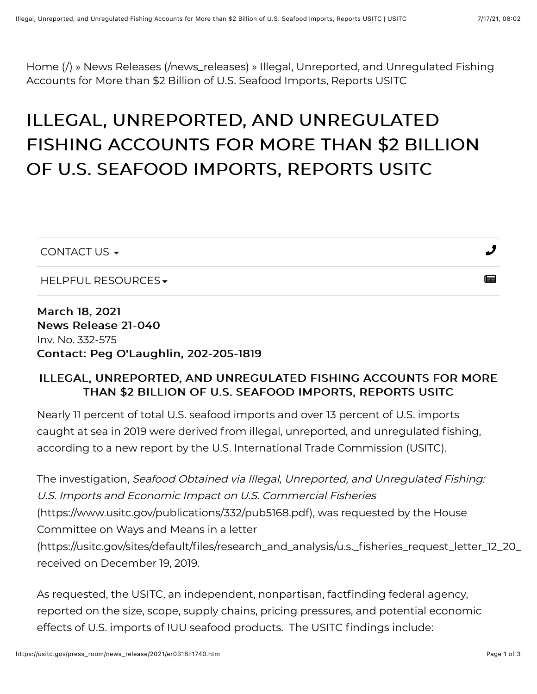[Home \(/\)](https://usitc.gov/) » [News Releases \(/news\\_releases\)](https://usitc.gov/news_releases) » Illegal, Unreported, and Unregulated Fishing Accounts for More than \$2 Billion of U.S. Seafood Imports, Reports USITC

# ILLEGAL, UNREPORTED, AND UNREGULATED FISHING ACCOUNTS FOR MORE THAN \$2 BILLION OF U.S. SEAFOOD IMPORTS, REPORTS USITC

| CONTACT US $\blacktriangleright$ |   |
|----------------------------------|---|
| HELPFUL RESOURCES -              | ⊫ |

March 18, 2021 News Release 21-040 Inv. No. 332-575 Contact: Peg O'Laughlin, 202-205-1819

#### ILLEGAL, UNREPORTED, AND UNREGULATED FISHING ACCOUNTS FOR MORE THAN \$2 BILLION OF U.S. SEAFOOD IMPORTS, REPORTS USITC

Nearly 11 percent of total U.S. seafood imports and over 13 percent of U.S. imports caught at sea in 2019 were derived from illegal, unreported, and unregulated fishing, according to a new report by the U.S. International Trade Commission (USITC).

The investigation, Seafood Obtained via Illegal, Unreported, and Unregulated Fishing: U.S. Imports and Economic Impact on U.S. Commercial Fisheries [\(https://www.usitc.gov/publications/332/pub5168.pdf\), was requested by the House](https://www.usitc.gov/publications/332/pub5168.pdf) Committee on Ways and Means in a letter [\(https://usitc.gov/sites/default/files/research\\_and\\_analysis/u.s.\\_fisheries\\_request\\_letter\\_12\\_20\\_](https://usitc.gov/sites/default/files/research_and_analysis/u.s._fisheries_request_letter_12_20_2019_10_03_57_107_508.pdf) received on December 19, 2019.

As requested, the USITC, an independent, nonpartisan, factfinding federal agency, reported on the size, scope, supply chains, pricing pressures, and potential economic effects of U.S. imports of IUU seafood products. The USITC findings include: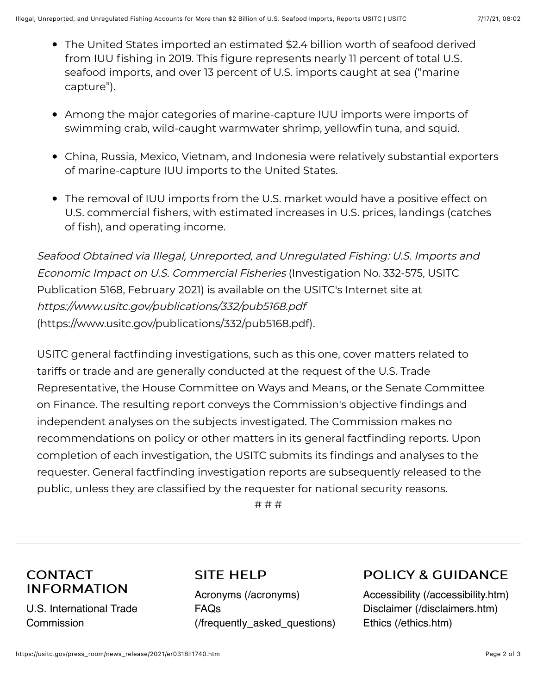- The United States imported an estimated \$2.4 billion worth of seafood derived from IUU fishing in 2019. This figure represents nearly 11 percent of total U.S. seafood imports, and over 13 percent of U.S. imports caught at sea ("marine capture").
- Among the major categories of marine-capture IUU imports were imports of swimming crab, wild-caught warmwater shrimp, yellowfin tuna, and squid.
- China, Russia, Mexico, Vietnam, and Indonesia were relatively substantial exporters of marine-capture IUU imports to the United States.
- The removal of IUU imports from the U.S. market would have a positive effect on U.S. commercial fishers, with estimated increases in U.S. prices, landings (catches of fish), and operating income.

Seafood Obtained via Illegal, Unreported, and Unregulated Fishing: U.S. Imports and Economic Impact on U.S. Commercial Fisheries (Investigation No. 332-575, USITC Publication 5168, February 2021) is available on the USITC's Internet site at <https://www.usitc.gov/publications/332/pub5168.pdf> (https://www.usitc.gov/publications/332/pub5168.pdf).

USITC general factfinding investigations, such as this one, cover matters related to tariffs or trade and are generally conducted at the request of the U.S. Trade Representative, the House Committee on Ways and Means, or the Senate Committee on Finance. The resulting report conveys the Commission's objective findings and independent analyses on the subjects investigated. The Commission makes no recommendations on policy or other matters in its general factfinding reports. Upon completion of each investigation, the USITC submits its findings and analyses to the requester. General factfinding investigation reports are subsequently released to the public, unless they are classified by the requester for national security reasons.

# # #

## **CONTACT INFORMATION**

U.S. International Trade **Commission** 

#### SITE HELP

[Acronyms \(/acronyms\)](https://usitc.gov/acronyms) FAQs [\(/frequently\\_asked\\_questions\)](https://usitc.gov/frequently_asked_questions)

# POLICY & GUIDANCE

[Accessibility \(/accessibility.htm\)](https://usitc.gov/accessibility.htm) [Disclaimer \(/disclaimers.htm\)](https://usitc.gov/disclaimers.htm) [Ethics \(/ethics.htm\)](https://usitc.gov/ethics.htm)